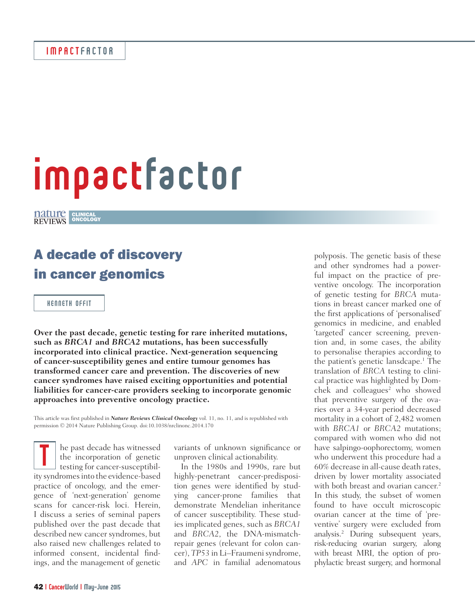# impactfactor

CLINICAL ONCOLOGY

# A decade of discovery in cancer genomics

KENNETH OFFIT

**Over the past decade, genetic testing for rare inherited mutations, such as** *BRCA1* **and** *BRCA2* **mutations, has been successfully incorporated into clinical practice. Next-generation sequencing of cancer-susceptibility genes and entire tumour genomes has transformed cancer care and prevention. The discoveries of new cancer syndromes have raised exciting opportunities and potential liabilities for cancer-care providers seeking to incorporate genomic approaches into preventive oncology practice.**

This article was first published in *Nature Reviews Clinical Oncology* vol. 11, no. 11, and is republished with permission © 2014 Nature Publishing Group. doi:10.1038/nrclinonc.2014.170

he past decade has witnessed the incorporation of genetic testing for cancer-susceptibil-In the past decade has witnessed<br>the incorporation of genetic<br>testing for cancer-susceptibil-<br>ity syndromes into the evidence-based practice of oncology, and the emergence of 'next-generation' genome scans for cancer-risk loci. Herein, I discuss a series of seminal papers published over the past decade that described new cancer syndromes, but also raised new challenges related to informed consent, incidental findings, and the management of genetic

variants of unknown significance or unproven clinical actionability.

In the 1980s and 1990s, rare but highly-penetrant cancer-predisposition genes were identified by studying cancer-prone families that demonstrate Mendelian inheritance of cancer susceptibility. These studies implicated genes, such as *BRCA1* and *BRCA2*, the DNA-mismatchrepair genes (relevant for colon cancer), *TP53* in Li–Fraumeni syndrome, and *APC* in familial adenomatous

polyposis. The genetic basis of these and other syndromes had a powerful impact on the practice of preventive oncology. The incorporation of genetic testing for *BRCA* mutations in breast cancer marked one of the first applications of 'personalised' genomics in medicine, and enabled 'targeted' cancer screening, prevention and, in some cases, the ability to personalise therapies according to the patient's genetic lansdcape.<sup>1</sup> The translation of *BRCA* testing to clinical practice was highlighted by Domchek and colleagues<sup>2</sup> who showed that preventive surgery of the ovaries over a 34-year period decreased mortality in a cohort of 2,482 women with *BRCA1* or *BRCA2* mutations; compared with women who did not have salpingo-oophorectomy, women who underwent this procedure had a 60% decrease in all-cause death rates, driven by lower mortality associated with both breast and ovarian cancer.<sup>2</sup> In this study, the subset of women found to have occult microscopic ovarian cancer at the time of 'preventive' surgery were excluded from analysis.2 During subsequent years, risk-reducing ovarian surgery, along with breast MRI, the option of prophylactic breast surgery, and hormonal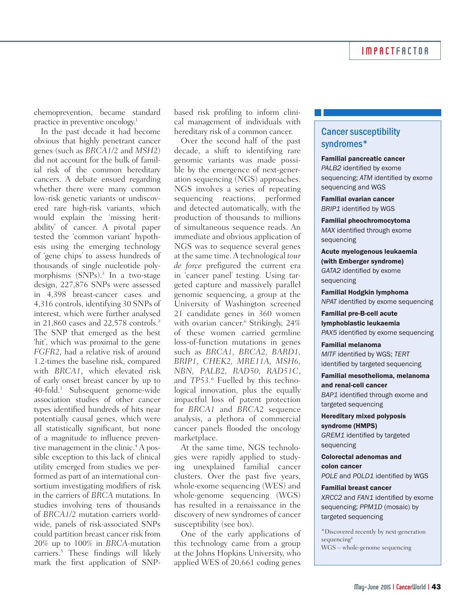chemoprevention, became standard practice in preventive oncology.1

In the past decade it had become obvious that highly penetrant cancer genes (such as *BRCA1/2* and *MSH2*) did not account for the bulk of familial risk of the common hereditary cancers. A debate ensued regarding whether there were many common low-risk genetic variants or undiscovered rare high-risk variants, which would explain the 'missing heritability' of cancer. A pivotal paper tested the 'common variant' hypothesis using the emerging technology of 'gene chips' to assess hundreds of thousands of single nucleotide polymorphisms (SNPs).3 In a two-stage design, 227,876 SNPs were assessed in 4,398 breast-cancer cases and 4,316 controls, identifying 30 SNPs of interest, which were further analysed in 21,860 cases and 22,578 controls.3 The SNP that emerged as the best 'hit', which was proximal to the gene *FGFR2*, had a relative risk of around 1.2-times the baseline risk, compared with *BRCA1*, which elevated risk of early onset breast cancer by up to 40-fold.3 Subsequent genome-wide association studies of other cancer types identified hundreds of hits near potentially causal genes, which were all statistically significant, but none of a magnitude to influence preventive management in the clinic.<sup>4</sup> A possible exception to this lack of clinical utility emerged from studies we performed as part of an international consortium investigating modifiers of risk in the carriers of *BRCA* mutations. In studies involving tens of thousands of *BRCA1/2* mutation carriers worldwide, panels of risk-associated SNPs could partition breast cancer risk from 20% up to 100% in *BRCA*-mutation carriers.5 These findings will likely mark the first application of SNP-

based risk profiling to inform clinical management of individuals with hereditary risk of a common cancer.

Over the second half of the past decade, a shift to identifying rare genomic variants was made possible by the emergence of next-generation sequencing (NGS) approaches. NGS involves a series of repeating sequencing reactions, performed and detected automatically, with the production of thousands to millions of simultaneous sequence reads. An immediate and obvious application of NGS was to sequence several genes at the same time. A technological *tour de force* prefigured the current era in 'cancer panel' testing. Using targeted capture and massively parallel genomic sequencing, a group at the University of Washington screened 21 candidate genes in 360 women with ovarian cancer.<sup>6</sup> Strikingly, 24% of these women carried germline loss-of-function mutations in genes such as *BRCA1, BRCA2, BARD1, BRIP1, CHEK2, MRE11A, MSH6, NBN, PALB2, RAD50, RAD51C*, and *TP53.*<sup>6</sup> Fuelled by this technological innovation, plus the equally impactful loss of patent protection for *BRCA1* and *BRCA2* sequence analysis, a plethora of commercial cancer panels flooded the oncology marketplace.

At the same time, NGS technologies were rapidly applied to studying unexplained familial cancer clusters. Over the past five years, whole-exome sequencing (WES) and whole-genome sequencing (WGS) has resulted in a renaissance in the discovery of new syndromes of cancer susceptibility (see box).

One of the early applications of this technology came from a group at the Johns Hopkins University, who applied WES of 20,661 coding genes

## Cancer susceptibility syndromes\*

### Familial pancreatic cancer

*PALB2* identified by exome sequencing; *ATM* identified by exome sequencing and WGS

Familial ovarian cancer *BRIP1* identified by WGS

Familial pheochromocytoma *MAX* identified through exome sequencing

Acute myelogenous leukaemia (with Emberger syndrome) *GATA2* identified by exome sequencing

Familial Hodgkin lymphoma *NPAT* identified by exome sequencing

Familial pre-B-cell acute lymphoblastic leukaemia *PAX5* identified by exome sequencing

Familial melanoma *MITF* identified by WGS; *TERT* identified by targeted sequencing

Familial mesothelioma, melanoma and renal-cell cancer *BAP1* identified through exome and targeted sequencing

Hereditary mixed polyposis syndrome (HMPS)

*GREM1* identified by targeted sequencing

Colorectal adenomas and colon cancer *POLE* and *POLD1* identified by WGS

#### Familial breast cancer

*XRCC2* and *FAN1* identified by exome sequencing; *PPM1D* (mosaic) by targeted sequencing

\*Discovered recently by next-generation sequencing4 WGS – whole-genome sequencing